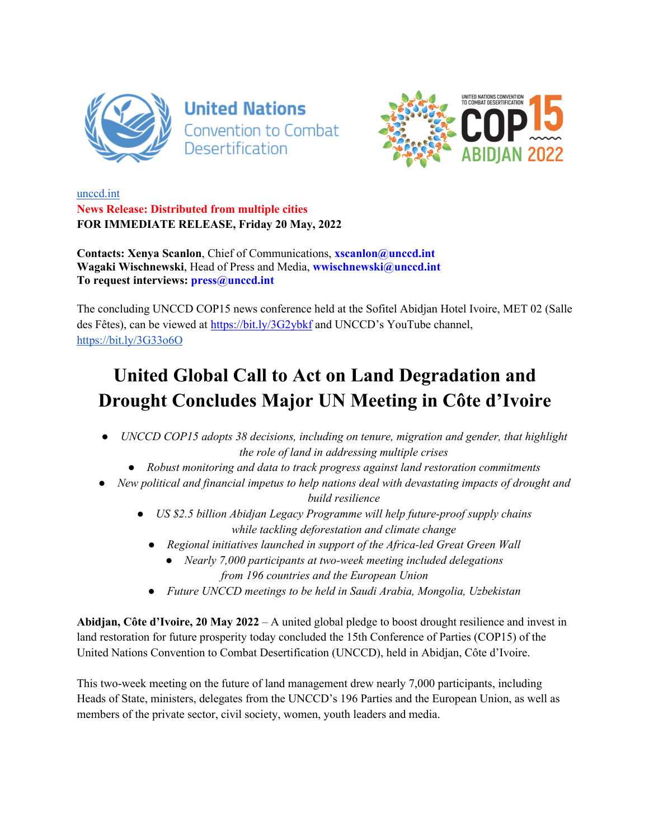



unccd.int **News Release: Distributed from multiple cities FOR IMMEDIATE RELEASE, Friday 20 May, 2022**

**Contacts: Xenya Scanlon**, Chief of Communications, **xscanlon@unccd.int Wagaki Wischnewski**, Head of Press and Media, **wwischnewski@unccd.int To request interviews: press@unccd.int**

The concluding UNCCD COP15 news conference held at the Sofitel Abidjan Hotel Ivoire, MET 02 (Salle des Fêtes), can be viewed at https://bit.ly/3G2ybkf and UNCCD's YouTube channel, https://bit.ly/3G33o6O

## **United Global Call to Act on Land Degradation and Drought Concludes Major UN Meeting in Côte d'Ivoire**

- *UNCCD COP15 adopts 38 decisions, including on tenure, migration and gender, that highlight the role of land in addressing multiple crises*
	- *Robust monitoring and data to track progress against land restoration commitments*
- New political and financial impetus to help nations deal with devastating impacts of drought and *build resilience*
	- *US \$2.5 billion Abidjan Legacy Programme will help future-proof supply chains while tackling deforestation and climate change*
		- *Regional initiatives launched in support of the Africa-led Great Green Wall*
			- *Nearly 7,000 participants at two-week meeting included delegations from 196 countries and the European Union*
		- *Future UNCCD meetings to be held in Saudi Arabia, Mongolia, Uzbekistan*

**Abidjan, Côte d'Ivoire, 20 May 2022** – A united global pledge to boost drought resilience and invest in land restoration for future prosperity today concluded the 15th Conference of Parties (COP15) of the United Nations Convention to Combat Desertification (UNCCD), held in Abidjan, Côte d'Ivoire.

This two-week meeting on the future of land management drew nearly 7,000 participants, including Heads of State, ministers, delegates from the UNCCD's 196 Parties and the European Union, as well as members of the private sector, civil society, women, youth leaders and media.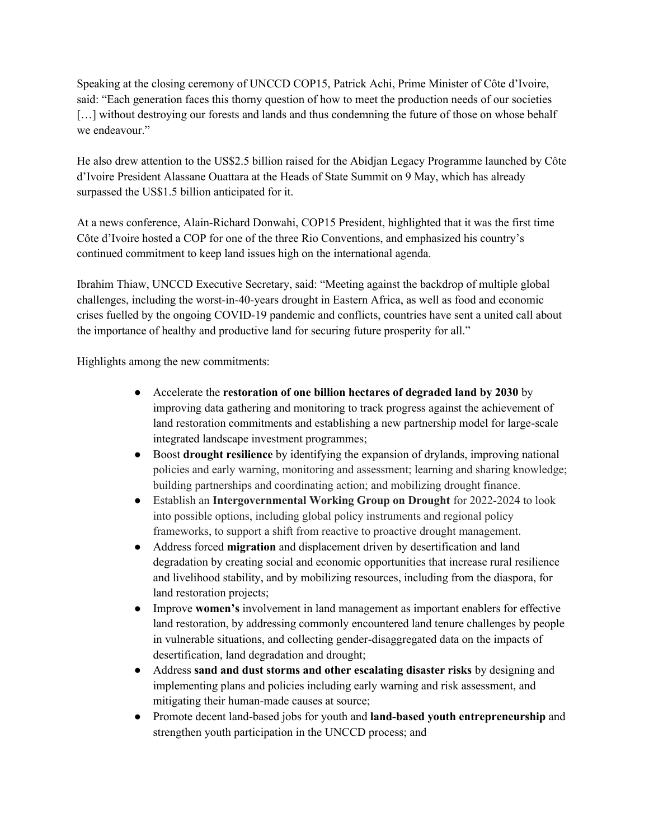Speaking at the closing ceremony of UNCCD COP15, Patrick Achi, Prime Minister of Côte d'Ivoire, said: "Each generation faces this thorny question of how to meet the production needs of our societies [...] without destroying our forests and lands and thus condemning the future of those on whose behalf we endeavour."

He also drew attention to the US\$2.5 billion raised for the Abidjan Legacy Programme launched by Côte d'Ivoire President Alassane Ouattara at the Heads of State Summit on 9 May, which has already surpassed the US\$1.5 billion anticipated for it.

At a news conference, Alain-Richard Donwahi, COP15 President, highlighted that it was the first time Côte d'Ivoire hosted a COP for one of the three Rio Conventions, and emphasized his country's continued commitment to keep land issues high on the international agenda.

Ibrahim Thiaw, UNCCD Executive Secretary, said: "Meeting against the backdrop of multiple global challenges, including the worst-in-40-years drought in Eastern Africa, as well as food and economic crises fuelled by the ongoing COVID-19 pandemic and conflicts, countries have sent a united call about the importance of healthy and productive land for securing future prosperity for all."

Highlights among the new commitments:

- Accelerate the **restoration of one billion hectares of degraded land by 2030** by improving data gathering and monitoring to track progress against the achievement of land restoration commitments and establishing a new partnership model for large-scale integrated landscape investment programmes;
- Boost **drought resilience** by identifying the expansion of drylands, improving national policies and early warning, monitoring and assessment; learning and sharing knowledge; building partnerships and coordinating action; and mobilizing drought finance.
- Establish an **Intergovernmental Working Group on Drought** for 2022-2024 to look into possible options, including global policy instruments and regional policy frameworks, to support a shift from reactive to proactive drought management.
- Address forced **migration** and displacement driven by desertification and land degradation by creating social and economic opportunities that increase rural resilience and livelihood stability, and by mobilizing resources, including from the diaspora, for land restoration projects;
- Improve **women's** involvement in land management as important enablers for effective land restoration, by addressing commonly encountered land tenure challenges by people in vulnerable situations, and collecting gender-disaggregated data on the impacts of desertification, land degradation and drought;
- Address **sand and dust storms and other escalating disaster risks** by designing and implementing plans and policies including early warning and risk assessment, and mitigating their human-made causes at source;
- Promote decent land-based jobs for youth and **land-based youth entrepreneurship** and strengthen youth participation in the UNCCD process; and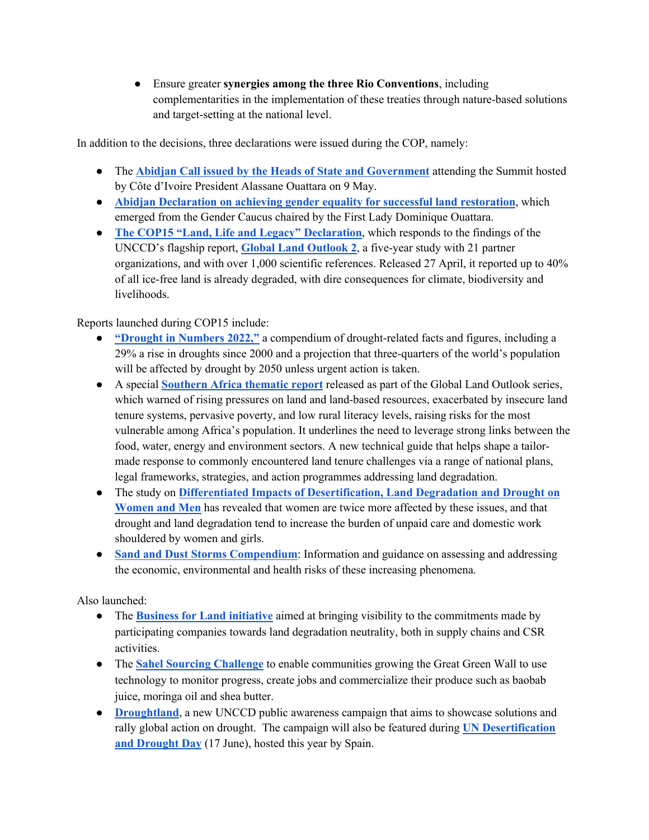● Ensure greater **synergies among the three Rio Conventions**, including complementarities in the implementation of these treaties through nature-based solutions and target-setting at the national level.

In addition to the decisions, three declarations were issued during the COP, namely:

- The **Abidjan Call issued by the Heads of State and Government** attending the Summit hosted by Côte d'Ivoire President Alassane Ouattara on 9 May.
- **Abidjan Declaration on achieving gender equality for successful land restoration**, which emerged from the Gender Caucus chaired by the First Lady Dominique Ouattara.
- **The COP15 "Land, Life and Legacy" Declaration**, which responds to the findings of the UNCCD's flagship report, **Global Land Outlook 2**, a five-year study with 21 partner organizations, and with over 1,000 scientific references. Released 27 April, it reported up to 40% of all ice-free land is already degraded, with dire consequences for climate, biodiversity and livelihoods.

Reports launched during COP15 include:

- **"Drought in Numbers 2022,"** a compendium of drought-related facts and figures, including a 29% a rise in droughts since 2000 and a projection that three-quarters of the world's population will be affected by drought by 2050 unless urgent action is taken.
- A special **Southern Africa thematic report** released as part of the Global Land Outlook series, which warned of rising pressures on land and land-based resources, exacerbated by insecure land tenure systems, pervasive poverty, and low rural literacy levels, raising risks for the most vulnerable among Africa's population. It underlines the need to leverage strong links between the food, water, energy and environment sectors. A new technical guide that helps shape a tailormade response to commonly encountered land tenure challenges via a range of national plans, legal frameworks, strategies, and action programmes addressing land degradation.
- The study on **Differentiated Impacts of Desertification, Land Degradation and Drought on Women and Men** has revealed that women are twice more affected by these issues, and that drought and land degradation tend to increase the burden of unpaid care and domestic work shouldered by women and girls.
- **Sand and Dust Storms Compendium**: Information and guidance on assessing and addressing the economic, environmental and health risks of these increasing phenomena.

Also launched:

- The **Business for Land initiative** aimed at bringing visibility to the commitments made by participating companies towards land degradation neutrality, both in supply chains and CSR activities.
- The **Sahel Sourcing Challenge** to enable communities growing the Great Green Wall to use technology to monitor progress, create jobs and commercialize their produce such as baobab juice, moringa oil and shea butter.
- **Droughtland**, a new UNCCD public awareness campaign that aims to showcase solutions and rally global action on drought. The campaign will also be featured during **UN Desertification and Drought Day** (17 June), hosted this year by Spain.